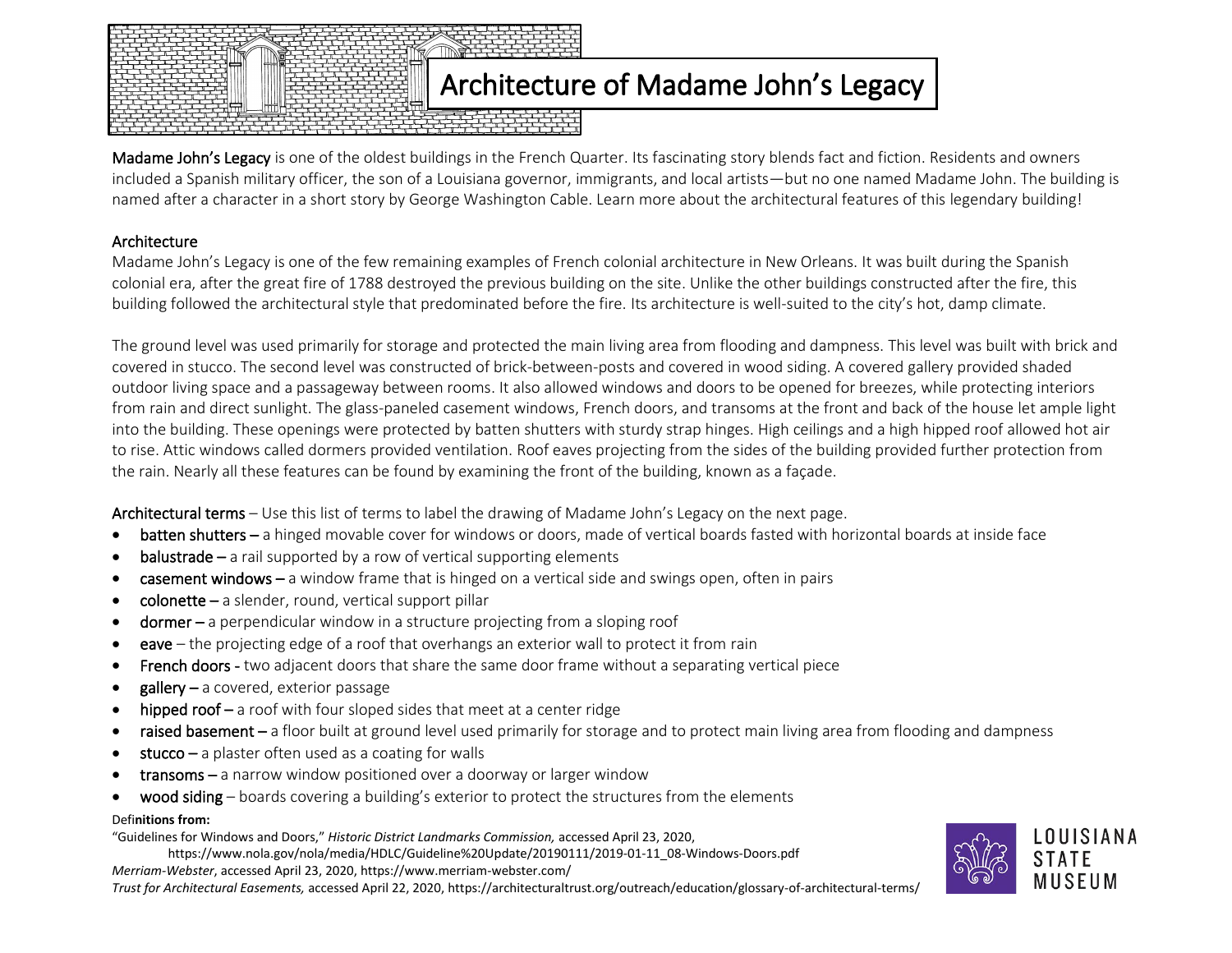

Madame John's Legacy is one of the oldest buildings in the French Quarter. Its fascinating story blends fact and fiction. Residents and owners included a Spanish military officer, the son of a Louisiana governor, immigrants, and local artists—but no one named Madame John. The building is named after a character in a short story by George Washington Cable. Learn more about the architectural features of this legendary building!

## Architecture

Madame John's Legacy is one of the few remaining examples of French colonial architecture in New Orleans. It was built during the Spanish colonial era, after the great fire of 1788 destroyed the previous building on the site. Unlike the other buildings constructed after the fire, this building followed the architectural style that predominated before the fire. Its architecture is well-suited to the city's hot, damp climate.

The ground level was used primarily for storage and protected the main living area from flooding and dampness. This level was built with brick and covered in stucco. The second level was constructed of brick-between-posts and covered in wood siding. A covered gallery provided shaded outdoor living space and a passageway between rooms. It also allowed windows and doors to be opened for breezes, while protecting interiors from rain and direct sunlight. The glass-paneled casement windows, French doors, and transoms at the front and back of the house let ample light into the building. These openings were protected by batten shutters with sturdy strap hinges. High ceilings and a high hipped roof allowed hot air to rise. Attic windows called dormers provided ventilation. Roof eaves projecting from the sides of the building provided further protection from the rain. Nearly all these features can be found by examining the front of the building, known as a façade.

Architectural terms – Use this list of terms to label the drawing of Madame John's Legacy on the next page.

- batten shutters a hinged movable cover for windows or doors, made of vertical boards fasted with horizontal boards at inside face
- balustrade a rail supported by a row of vertical supporting elements
- **casement windows** a window frame that is hinged on a vertical side and swings open, often in pairs
- $\text{colonette} a$  slender, round, vertical support pillar
- dormer a perpendicular window in a structure projecting from a sloping roof
- eave the projecting edge of a roof that overhangs an exterior wall to protect it from rain
- French doors two adjacent doors that share the same door frame without a separating vertical piece
- $g$ allery a covered, exterior passage
- hipped roof a roof with four sloped sides that meet at a center ridge
- raised basement a floor built at ground level used primarily for storage and to protect main living area from flooding and dampness
- $stucco a$  plaster often used as a coating for walls
- $transoms a$  narrow window positioned over a doorway or larger window
- wood siding boards covering a building's exterior to protect the structures from the elements

## Defi**nitions from:**

"Guidelines for Windows and Doors," *Historic District Landmarks Commission,* accessed April 23, 2020,

https://www.nola.gov/nola/media/HDLC/Guideline%20Update/20190111/2019-01-11\_08-Windows-Doors.pdf

*Merriam-Webster*, accessed April 23, 2020, https://www.merriam-webster.com/

*Trust for Architectural Easements,* accessed April 22, 2020, https://architecturaltrust.org/outreach/education/glossary-of-architectural-terms/